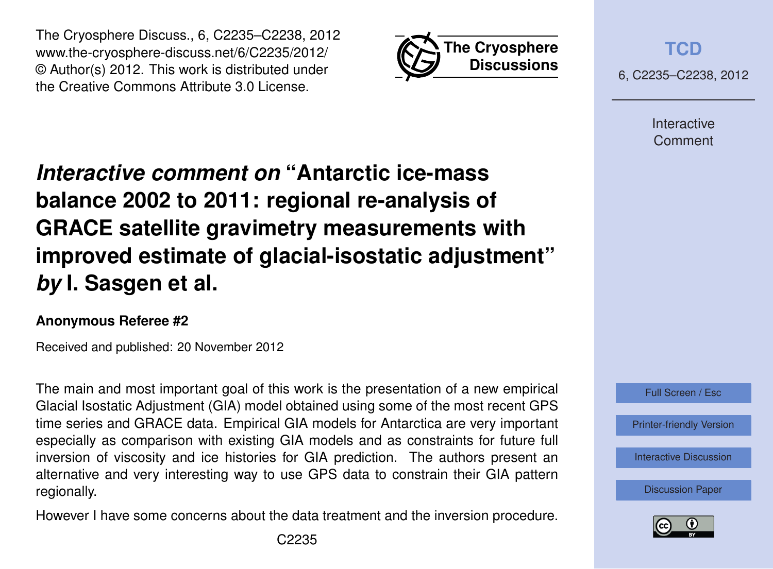



**[TCD](http://www.the-cryosphere-discuss.net)**

6, C2235–C2238, 2012

Interactive Comment

# *Interactive comment on* **"Antarctic ice-mass balance 2002 to 2011: regional re-analysis of GRACE satellite gravimetry measurements with improved estimate of glacial-isostatic adjustment"** *by* **I. Sasgen et al.**

## **Anonymous Referee #2**

Received and published: 20 November 2012

The main and most important goal of this work is the presentation of a new empirical Glacial Isostatic Adjustment (GIA) model obtained using some of the most recent GPS time series and GRACE data. Empirical GIA models for Antarctica are very important especially as comparison with existing GIA models and as constraints for future full inversion of viscosity and ice histories for GIA prediction. The authors present an alternative and very interesting way to use GPS data to constrain their GIA pattern regionally.

However I have some concerns about the data treatment and the inversion procedure.



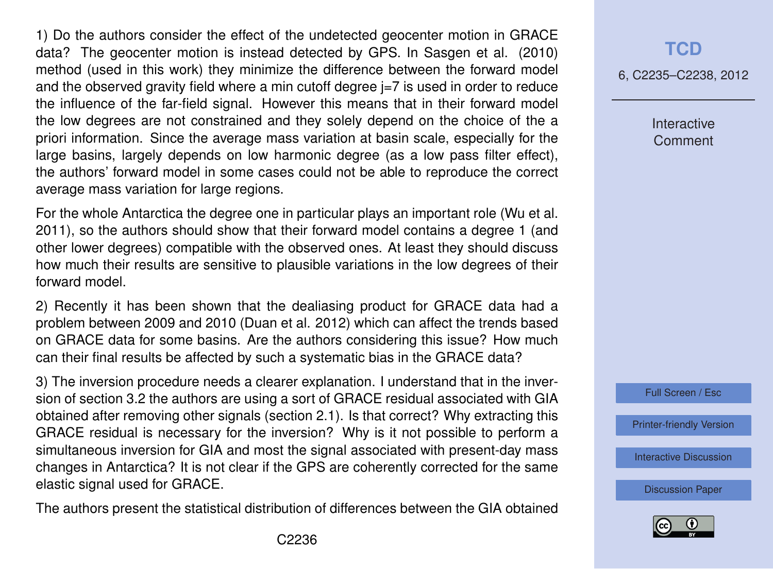1) Do the authors consider the effect of the undetected geocenter motion in GRACE data? The geocenter motion is instead detected by GPS. In Sasgen et al. (2010) method (used in this work) they minimize the difference between the forward model and the observed gravity field where a min cutoff degree  $j=7$  is used in order to reduce the influence of the far-field signal. However this means that in their forward model the low degrees are not constrained and they solely depend on the choice of the a priori information. Since the average mass variation at basin scale, especially for the large basins, largely depends on low harmonic degree (as a low pass filter effect), the authors' forward model in some cases could not be able to reproduce the correct average mass variation for large regions.

For the whole Antarctica the degree one in particular plays an important role (Wu et al. 2011), so the authors should show that their forward model contains a degree 1 (and other lower degrees) compatible with the observed ones. At least they should discuss how much their results are sensitive to plausible variations in the low degrees of their forward model.

2) Recently it has been shown that the dealiasing product for GRACE data had a problem between 2009 and 2010 (Duan et al. 2012) which can affect the trends based on GRACE data for some basins. Are the authors considering this issue? How much can their final results be affected by such a systematic bias in the GRACE data?

3) The inversion procedure needs a clearer explanation. I understand that in the inversion of section 3.2 the authors are using a sort of GRACE residual associated with GIA obtained after removing other signals (section 2.1). Is that correct? Why extracting this GRACE residual is necessary for the inversion? Why is it not possible to perform a simultaneous inversion for GIA and most the signal associated with present-day mass changes in Antarctica? It is not clear if the GPS are coherently corrected for the same elastic signal used for GRACE.

The authors present the statistical distribution of differences between the GIA obtained

#### **[TCD](http://www.the-cryosphere-discuss.net)**

6, C2235–C2238, 2012

Interactive Comment



[Printer-friendly Version](http://www.the-cryosphere-discuss.net/6/C2235/2012/tcd-6-C2235-2012-print.pdf)

[Interactive Discussion](http://www.the-cryosphere-discuss.net/6/3703/2012/tcd-6-3703-2012-discussion.html)

[Discussion Paper](http://www.the-cryosphere-discuss.net/6/3703/2012/tcd-6-3703-2012.pdf)

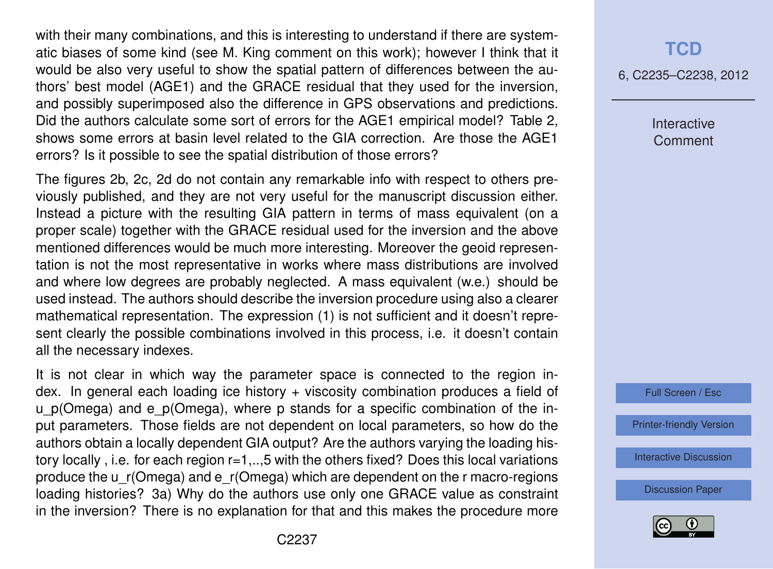with their many combinations, and this is interesting to understand if there are systematic biases of some kind (see M. King comment on this work); however I think that it would be also very useful to show the spatial pattern of differences between the authors' best model (AGE1) and the GRACE residual that they used for the inversion, and possibly superimposed also the difference in GPS observations and predictions. Did the authors calculate some sort of errors for the AGE1 empirical model? Table 2, shows some errors at basin level related to the GIA correction. Are those the AGE1 errors? Is it possible to see the spatial distribution of those errors?

The figures 2b, 2c, 2d do not contain any remarkable info with respect to others previously published, and they are not very useful for the manuscript discussion either. Instead a picture with the resulting GIA pattern in terms of mass equivalent (on a proper scale) together with the GRACE residual used for the inversion and the above mentioned differences would be much more interesting. Moreover the geoid representation is not the most representative in works where mass distributions are involved and where low degrees are probably neglected. A mass equivalent (w.e.) should be used instead. The authors should describe the inversion procedure using also a clearer mathematical representation. The expression (1) is not sufficient and it doesn't represent clearly the possible combinations involved in this process, i.e. it doesn't contain all the necessary indexes.

It is not clear in which way the parameter space is connected to the region index. In general each loading ice history + viscosity combination produces a field of u p(Omega) and e p(Omega), where p stands for a specific combination of the input parameters. Those fields are not dependent on local parameters, so how do the authors obtain a locally dependent GIA output? Are the authors varying the loading history locally , i.e. for each region r=1,..,5 with the others fixed? Does this local variations produce the u\_r(Omega) and e\_r(Omega) which are dependent on the r macro-regions loading histories? 3a) Why do the authors use only one GRACE value as constraint in the inversion? There is no explanation for that and this makes the procedure more

## **[TCD](http://www.the-cryosphere-discuss.net)**

6, C2235–C2238, 2012

Interactive **Comment** 



[Printer-friendly Version](http://www.the-cryosphere-discuss.net/6/C2235/2012/tcd-6-C2235-2012-print.pdf)

[Interactive Discussion](http://www.the-cryosphere-discuss.net/6/3703/2012/tcd-6-3703-2012-discussion.html)

[Discussion Paper](http://www.the-cryosphere-discuss.net/6/3703/2012/tcd-6-3703-2012.pdf)